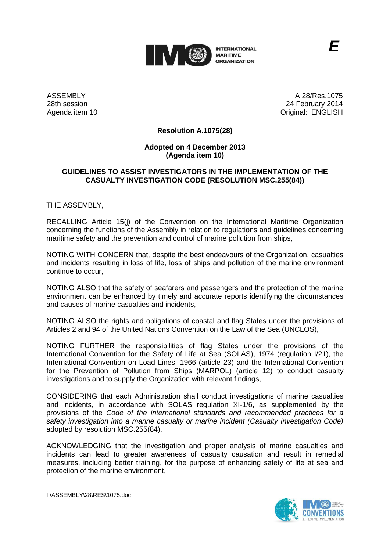

ASSEMBLY 28th session Agenda item 10

A 28/Res.1075 24 February 2014 Original: ENGLISH

## **Resolution A.1075(28)**

## **Adopted on 4 December 2013 (Agenda item 10)**

## **GUIDELINES TO ASSIST INVESTIGATORS IN THE IMPLEMENTATION OF THE CASUALTY INVESTIGATION CODE (RESOLUTION MSC.255(84))**

THE ASSEMBLY,

RECALLING Article 15(j) of the Convention on the International Maritime Organization concerning the functions of the Assembly in relation to regulations and guidelines concerning maritime safety and the prevention and control of marine pollution from ships,

NOTING WITH CONCERN that, despite the best endeavours of the Organization, casualties and incidents resulting in loss of life, loss of ships and pollution of the marine environment continue to occur,

NOTING ALSO that the safety of seafarers and passengers and the protection of the marine environment can be enhanced by timely and accurate reports identifying the circumstances and causes of marine casualties and incidents,

NOTING ALSO the rights and obligations of coastal and flag States under the provisions of Articles 2 and 94 of the United Nations Convention on the Law of the Sea (UNCLOS),

NOTING FURTHER the responsibilities of flag States under the provisions of the International Convention for the Safety of Life at Sea (SOLAS), 1974 (regulation I/21), the International Convention on Load Lines, 1966 (article 23) and the International Convention for the Prevention of Pollution from Ships (MARPOL) (article 12) to conduct casualty investigations and to supply the Organization with relevant findings,

CONSIDERING that each Administration shall conduct investigations of marine casualties and incidents, in accordance with SOLAS regulation XI-1/6, as supplemented by the provisions of the *Code of the international standards and recommended practices for a safety investigation into a marine casualty or marine incident (Casualty Investigation Code)* adopted by resolution MSC.255(84),

ACKNOWLEDGING that the investigation and proper analysis of marine casualties and incidents can lead to greater awareness of casualty causation and result in remedial measures, including better training, for the purpose of enhancing safety of life at sea and protection of the marine environment,

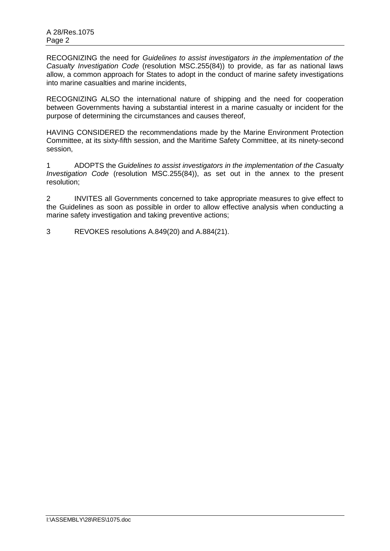RECOGNIZING the need for *Guidelines to assist investigators in the implementation of the Casualty Investigation Code* (resolution MSC.255(84)) to provide, as far as national laws allow, a common approach for States to adopt in the conduct of marine safety investigations into marine casualties and marine incidents,

RECOGNIZING ALSO the international nature of shipping and the need for cooperation between Governments having a substantial interest in a marine casualty or incident for the purpose of determining the circumstances and causes thereof,

HAVING CONSIDERED the recommendations made by the Marine Environment Protection Committee, at its sixty-fifth session, and the Maritime Safety Committee, at its ninety-second session,

1 ADOPTS the *Guidelines to assist investigators in the implementation of the Casualty Investigation Code* (resolution MSC.255(84)), as set out in the annex to the present resolution;

2 INVITES all Governments concerned to take appropriate measures to give effect to the Guidelines as soon as possible in order to allow effective analysis when conducting a marine safety investigation and taking preventive actions;

3 REVOKES resolutions A.849(20) and A.884(21).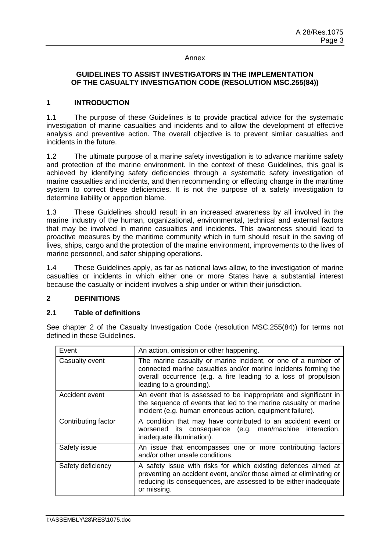#### Annex

## **GUIDELINES TO ASSIST INVESTIGATORS IN THE IMPLEMENTATION OF THE CASUALTY INVESTIGATION CODE (RESOLUTION MSC.255(84))**

#### **1 INTRODUCTION**

1.1 The purpose of these Guidelines is to provide practical advice for the systematic investigation of marine casualties and incidents and to allow the development of effective analysis and preventive action. The overall objective is to prevent similar casualties and incidents in the future.

1.2 The ultimate purpose of a marine safety investigation is to advance maritime safety and protection of the marine environment. In the context of these Guidelines, this goal is achieved by identifying safety deficiencies through a systematic safety investigation of marine casualties and incidents, and then recommending or effecting change in the maritime system to correct these deficiencies. It is not the purpose of a safety investigation to determine liability or apportion blame.

1.3 These Guidelines should result in an increased awareness by all involved in the marine industry of the human, organizational, environmental, technical and external factors that may be involved in marine casualties and incidents. This awareness should lead to proactive measures by the maritime community which in turn should result in the saving of lives, ships, cargo and the protection of the marine environment, improvements to the lives of marine personnel, and safer shipping operations.

1.4 These Guidelines apply, as far as national laws allow, to the investigation of marine casualties or incidents in which either one or more States have a substantial interest because the casualty or incident involves a ship under or within their jurisdiction.

## **2 DEFINITIONS**

## **2.1 Table of definitions**

See chapter 2 of the Casualty Investigation Code (resolution MSC.255(84)) for terms not defined in these Guidelines.

| Event               | An action, omission or other happening.                                                                                                                                                                                         |
|---------------------|---------------------------------------------------------------------------------------------------------------------------------------------------------------------------------------------------------------------------------|
| Casualty event      | The marine casualty or marine incident, or one of a number of<br>connected marine casualties and/or marine incidents forming the<br>overall occurrence (e.g. a fire leading to a loss of propulsion<br>leading to a grounding). |
| Accident event      | An event that is assessed to be inappropriate and significant in<br>the sequence of events that led to the marine casualty or marine<br>incident (e.g. human erroneous action, equipment failure).                              |
| Contributing factor | A condition that may have contributed to an accident event or<br>worsened its consequence (e.g. man/machine interaction,<br>inadequate illumination).                                                                           |
| Safety issue        | An issue that encompasses one or more contributing factors<br>and/or other unsafe conditions.                                                                                                                                   |
| Safety deficiency   | A safety issue with risks for which existing defences aimed at<br>preventing an accident event, and/or those aimed at eliminating or<br>reducing its consequences, are assessed to be either inadequate<br>or missing.          |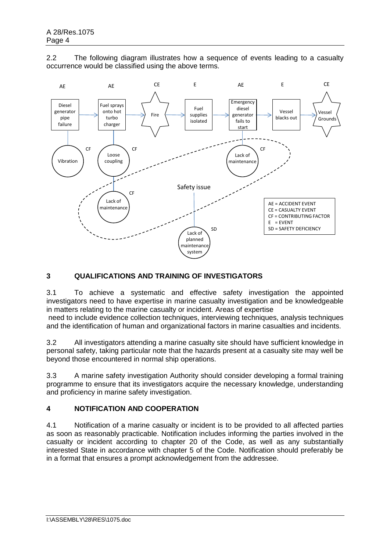2.2 The following diagram illustrates how a sequence of events leading to a casualty occurrence would be classified using the above terms.



# **3 QUALIFICATIONS AND TRAINING OF INVESTIGATORS**

3.1 To achieve a systematic and effective safety investigation the appointed investigators need to have expertise in marine casualty investigation and be knowledgeable in matters relating to the marine casualty or incident. Areas of expertise

need to include evidence collection techniques, interviewing techniques, analysis techniques and the identification of human and organizational factors in marine casualties and incidents.

3.2 All investigators attending a marine casualty site should have sufficient knowledge in personal safety, taking particular note that the hazards present at a casualty site may well be beyond those encountered in normal ship operations.

3.3 A marine safety investigation Authority should consider developing a formal training programme to ensure that its investigators acquire the necessary knowledge, understanding and proficiency in marine safety investigation.

## **4 NOTIFICATION AND COOPERATION**

4.1 Notification of a marine casualty or incident is to be provided to all affected parties as soon as reasonably practicable. Notification includes informing the parties involved in the casualty or incident according to chapter 20 of the Code, as well as any substantially interested State in accordance with chapter 5 of the Code. Notification should preferably be in a format that ensures a prompt acknowledgement from the addressee.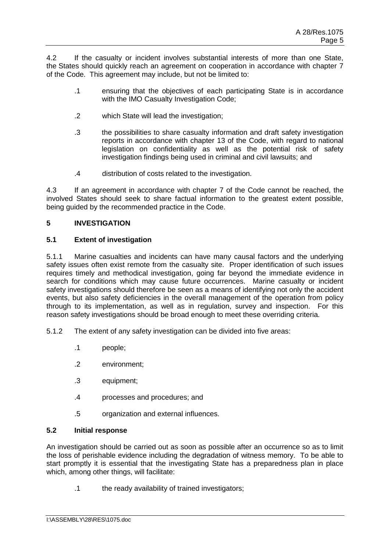4.2 If the casualty or incident involves substantial interests of more than one State, the States should quickly reach an agreement on cooperation in accordance with chapter 7 of the Code. This agreement may include, but not be limited to:

- .1 ensuring that the objectives of each participating State is in accordance with the IMO Casualty Investigation Code:
- .2 which State will lead the investigation;
- .3 the possibilities to share casualty information and draft safety investigation reports in accordance with chapter 13 of the Code, with regard to national legislation on confidentiality as well as the potential risk of safety investigation findings being used in criminal and civil lawsuits; and
- .4 distribution of costs related to the investigation.

4.3 If an agreement in accordance with chapter 7 of the Code cannot be reached, the involved States should seek to share factual information to the greatest extent possible, being guided by the recommended practice in the Code.

# **5 INVESTIGATION**

# **5.1 Extent of investigation**

5.1.1 Marine casualties and incidents can have many causal factors and the underlying safety issues often exist remote from the casualty site. Proper identification of such issues requires timely and methodical investigation, going far beyond the immediate evidence in search for conditions which may cause future occurrences. Marine casualty or incident safety investigations should therefore be seen as a means of identifying not only the accident events, but also safety deficiencies in the overall management of the operation from policy through to its implementation, as well as in regulation, survey and inspection. For this reason safety investigations should be broad enough to meet these overriding criteria.

- 5.1.2 The extent of any safety investigation can be divided into five areas:
	- .1 people;
	- .2 environment;
	- .3 equipment;
	- .4 processes and procedures; and
	- .5 organization and external influences.

## **5.2 Initial response**

An investigation should be carried out as soon as possible after an occurrence so as to limit the loss of perishable evidence including the degradation of witness memory. To be able to start promptly it is essential that the investigating State has a preparedness plan in place which, among other things, will facilitate:

.1 the ready availability of trained investigators;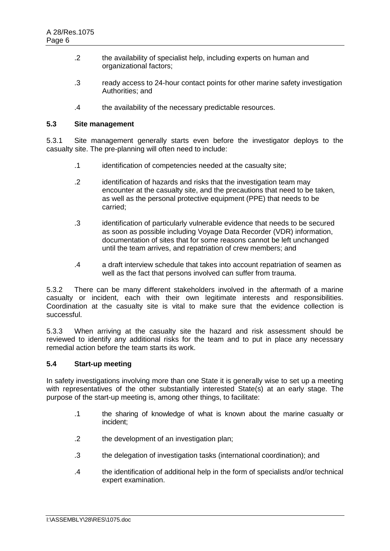- .2 the availability of specialist help, including experts on human and organizational factors;
- .3 ready access to 24-hour contact points for other marine safety investigation Authorities; and
- .4 the availability of the necessary predictable resources.

#### **5.3 Site management**

5.3.1 Site management generally starts even before the investigator deploys to the casualty site. The pre-planning will often need to include:

- .1 identification of competencies needed at the casualty site;
- .2 identification of hazards and risks that the investigation team may encounter at the casualty site, and the precautions that need to be taken, as well as the personal protective equipment (PPE) that needs to be carried;
- .3 identification of particularly vulnerable evidence that needs to be secured as soon as possible including Voyage Data Recorder (VDR) information, documentation of sites that for some reasons cannot be left unchanged until the team arrives, and repatriation of crew members; and
- .4 a draft interview schedule that takes into account repatriation of seamen as well as the fact that persons involved can suffer from trauma.

5.3.2 There can be many different stakeholders involved in the aftermath of a marine casualty or incident, each with their own legitimate interests and responsibilities. Coordination at the casualty site is vital to make sure that the evidence collection is successful.

5.3.3 When arriving at the casualty site the hazard and risk assessment should be reviewed to identify any additional risks for the team and to put in place any necessary remedial action before the team starts its work.

# **5.4 Start-up meeting**

In safety investigations involving more than one State it is generally wise to set up a meeting with representatives of the other substantially interested State(s) at an early stage. The purpose of the start-up meeting is, among other things, to facilitate:

- .1 the sharing of knowledge of what is known about the marine casualty or incident;
- .2 the development of an investigation plan;
- .3 the delegation of investigation tasks (international coordination); and
- .4 the identification of additional help in the form of specialists and/or technical expert examination.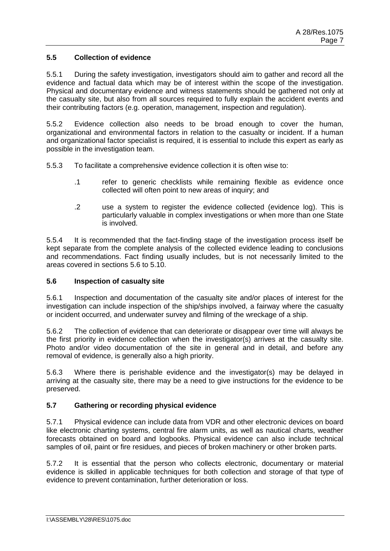# **5.5 Collection of evidence**

5.5.1 During the safety investigation, investigators should aim to gather and record all the evidence and factual data which may be of interest within the scope of the investigation. Physical and documentary evidence and witness statements should be gathered not only at the casualty site, but also from all sources required to fully explain the accident events and their contributing factors (e.g. operation, management, inspection and regulation).

5.5.2 Evidence collection also needs to be broad enough to cover the human, organizational and environmental factors in relation to the casualty or incident. If a human and organizational factor specialist is required, it is essential to include this expert as early as possible in the investigation team.

- 5.5.3 To facilitate a comprehensive evidence collection it is often wise to:
	- .1 refer to generic checklists while remaining flexible as evidence once collected will often point to new areas of inquiry; and
	- .2 use a system to register the evidence collected (evidence log). This is particularly valuable in complex investigations or when more than one State is involved.

5.5.4 It is recommended that the fact-finding stage of the investigation process itself be kept separate from the complete analysis of the collected evidence leading to conclusions and recommendations. Fact finding usually includes, but is not necessarily limited to the areas covered in sections 5.6 to 5.10.

## **5.6 Inspection of casualty site**

5.6.1 Inspection and documentation of the casualty site and/or places of interest for the investigation can include inspection of the ship/ships involved, a fairway where the casualty or incident occurred, and underwater survey and filming of the wreckage of a ship.

5.6.2 The collection of evidence that can deteriorate or disappear over time will always be the first priority in evidence collection when the investigator(s) arrives at the casualty site. Photo and/or video documentation of the site in general and in detail, and before any removal of evidence, is generally also a high priority.

5.6.3 Where there is perishable evidence and the investigator(s) may be delayed in arriving at the casualty site, there may be a need to give instructions for the evidence to be preserved.

## **5.7 Gathering or recording physical evidence**

5.7.1 Physical evidence can include data from VDR and other electronic devices on board like electronic charting systems, central fire alarm units, as well as nautical charts, weather forecasts obtained on board and logbooks. Physical evidence can also include technical samples of oil, paint or fire residues, and pieces of broken machinery or other broken parts.

5.7.2 It is essential that the person who collects electronic, documentary or material evidence is skilled in applicable techniques for both collection and storage of that type of evidence to prevent contamination, further deterioration or loss.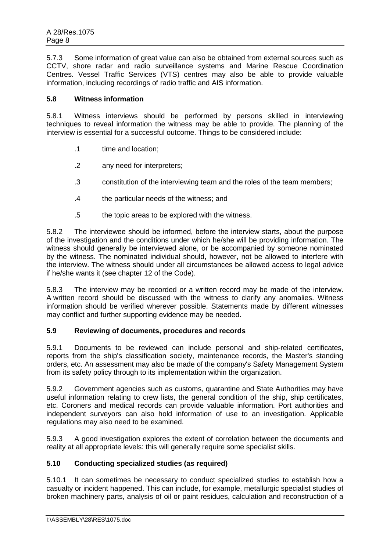5.7.3 Some information of great value can also be obtained from external sources such as CCTV, shore radar and radio surveillance systems and Marine Rescue Coordination Centres. Vessel Traffic Services (VTS) centres may also be able to provide valuable information, including recordings of radio traffic and AIS information.

# **5.8 Witness information**

5.8.1 Witness interviews should be performed by persons skilled in interviewing techniques to reveal information the witness may be able to provide. The planning of the interview is essential for a successful outcome. Things to be considered include:

- .1 time and location;
- .2 any need for interpreters;
- .3 constitution of the interviewing team and the roles of the team members;
- .4 the particular needs of the witness; and
- .5 the topic areas to be explored with the witness.

5.8.2 The interviewee should be informed, before the interview starts, about the purpose of the investigation and the conditions under which he/she will be providing information. The witness should generally be interviewed alone, or be accompanied by someone nominated by the witness. The nominated individual should, however, not be allowed to interfere with the interview. The witness should under all circumstances be allowed access to legal advice if he/she wants it (see chapter 12 of the Code).

5.8.3 The interview may be recorded or a written record may be made of the interview. A written record should be discussed with the witness to clarify any anomalies. Witness information should be verified wherever possible. Statements made by different witnesses may conflict and further supporting evidence may be needed.

## **5.9 Reviewing of documents, procedures and records**

5.9.1 Documents to be reviewed can include personal and ship-related certificates, reports from the ship's classification society, maintenance records, the Master's standing orders, etc. An assessment may also be made of the company's Safety Management System from its safety policy through to its implementation within the organization.

5.9.2 Government agencies such as customs, quarantine and State Authorities may have useful information relating to crew lists, the general condition of the ship, ship certificates, etc. Coroners and medical records can provide valuable information. Port authorities and independent surveyors can also hold information of use to an investigation. Applicable regulations may also need to be examined.

5.9.3 A good investigation explores the extent of correlation between the documents and reality at all appropriate levels: this will generally require some specialist skills.

# **5.10 Conducting specialized studies (as required)**

5.10.1 It can sometimes be necessary to conduct specialized studies to establish how a casualty or incident happened. This can include, for example, metallurgic specialist studies of broken machinery parts, analysis of oil or paint residues, calculation and reconstruction of a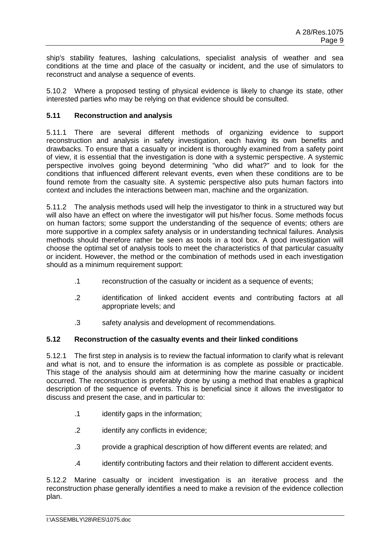ship's stability features, lashing calculations, specialist analysis of weather and sea conditions at the time and place of the casualty or incident, and the use of simulators to reconstruct and analyse a sequence of events.

5.10.2 Where a proposed testing of physical evidence is likely to change its state, other interested parties who may be relying on that evidence should be consulted.

# **5.11 Reconstruction and analysis**

5.11.1 There are several different methods of organizing evidence to support reconstruction and analysis in safety investigation, each having its own benefits and drawbacks. To ensure that a casualty or incident is thoroughly examined from a safety point of view, it is essential that the investigation is done with a systemic perspective. A systemic perspective involves going beyond determining "who did what?" and to look for the conditions that influenced different relevant events, even when these conditions are to be found remote from the casualty site. A systemic perspective also puts human factors into context and includes the interactions between man, machine and the organization.

5.11.2 The analysis methods used will help the investigator to think in a structured way but will also have an effect on where the investigator will put his/her focus. Some methods focus on human factors; some support the understanding of the sequence of events; others are more supportive in a complex safety analysis or in understanding technical failures. Analysis methods should therefore rather be seen as tools in a tool box. A good investigation will choose the optimal set of analysis tools to meet the characteristics of that particular casualty or incident. However, the method or the combination of methods used in each investigation should as a minimum requirement support:

- .1 reconstruction of the casualty or incident as a sequence of events;
- .2 identification of linked accident events and contributing factors at all appropriate levels; and
- .3 safety analysis and development of recommendations.

## **5.12 Reconstruction of the casualty events and their linked conditions**

5.12.1 The first step in analysis is to review the factual information to clarify what is relevant and what is not, and to ensure the information is as complete as possible or practicable. This stage of the analysis should aim at determining how the marine casualty or incident occurred. The reconstruction is preferably done by using a method that enables a graphical description of the sequence of events. This is beneficial since it allows the investigator to discuss and present the case, and in particular to:

- .1 identify gaps in the information;
- .2 identify any conflicts in evidence;
- .3 provide a graphical description of how different events are related; and
- .4 identify contributing factors and their relation to different accident events.

5.12.2 Marine casualty or incident investigation is an iterative process and the reconstruction phase generally identifies a need to make a revision of the evidence collection plan.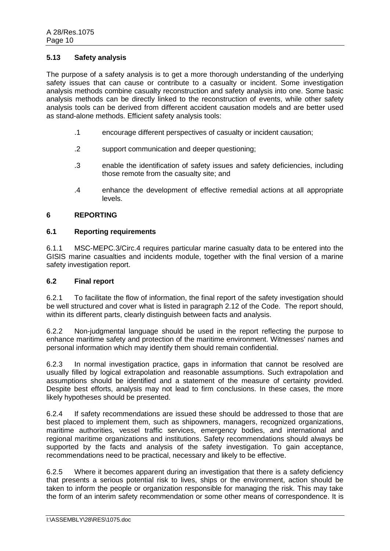## **5.13 Safety analysis**

The purpose of a safety analysis is to get a more thorough understanding of the underlying safety issues that can cause or contribute to a casualty or incident. Some investigation analysis methods combine casualty reconstruction and safety analysis into one. Some basic analysis methods can be directly linked to the reconstruction of events, while other safety analysis tools can be derived from different accident causation models and are better used as stand-alone methods. Efficient safety analysis tools:

- .1 encourage different perspectives of casualty or incident causation;
- .2 support communication and deeper questioning;
- .3 enable the identification of safety issues and safety deficiencies, including those remote from the casualty site; and
- .4 enhance the development of effective remedial actions at all appropriate levels.

### **6 REPORTING**

### **6.1 Reporting requirements**

6.1.1 MSC-MEPC.3/Circ.4 requires particular marine casualty data to be entered into the GISIS marine casualties and incidents module, together with the final version of a marine safety investigation report.

#### **6.2 Final report**

6.2.1 To facilitate the flow of information, the final report of the safety investigation should be well structured and cover what is listed in paragraph 2.12 of the Code. The report should, within its different parts, clearly distinguish between facts and analysis.

6.2.2 Non-judgmental language should be used in the report reflecting the purpose to enhance maritime safety and protection of the maritime environment. Witnesses' names and personal information which may identify them should remain confidential.

6.2.3 In normal investigation practice, gaps in information that cannot be resolved are usually filled by logical extrapolation and reasonable assumptions. Such extrapolation and assumptions should be identified and a statement of the measure of certainty provided. Despite best efforts, analysis may not lead to firm conclusions. In these cases, the more likely hypotheses should be presented.

6.2.4 If safety recommendations are issued these should be addressed to those that are best placed to implement them, such as shipowners, managers, recognized organizations, maritime authorities, vessel traffic services, emergency bodies, and international and regional maritime organizations and institutions. Safety recommendations should always be supported by the facts and analysis of the safety investigation. To gain acceptance, recommendations need to be practical, necessary and likely to be effective.

6.2.5 Where it becomes apparent during an investigation that there is a safety deficiency that presents a serious potential risk to lives, ships or the environment, action should be taken to inform the people or organization responsible for managing the risk. This may take the form of an interim safety recommendation or some other means of correspondence. It is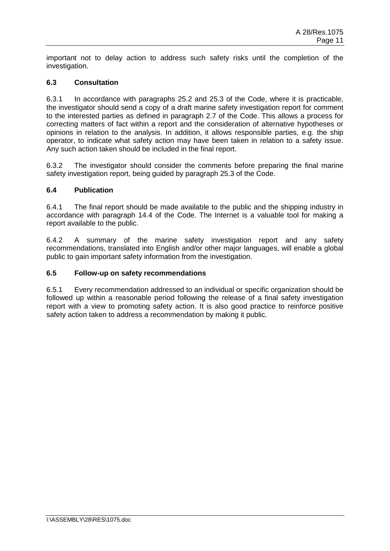important not to delay action to address such safety risks until the completion of the investigation.

# **6.3 Consultation**

6.3.1 In accordance with paragraphs 25.2 and 25.3 of the Code, where it is practicable, the investigator should send a copy of a draft marine safety investigation report for comment to the interested parties as defined in paragraph 2.7 of the Code. This allows a process for correcting matters of fact within a report and the consideration of alternative hypotheses or opinions in relation to the analysis. In addition, it allows responsible parties, e.g. the ship operator, to indicate what safety action may have been taken in relation to a safety issue. Any such action taken should be included in the final report.

6.3.2 The investigator should consider the comments before preparing the final marine safety investigation report, being guided by paragraph 25.3 of the Code.

## **6.4 Publication**

6.4.1 The final report should be made available to the public and the shipping industry in accordance with paragraph 14.4 of the Code. The Internet is a valuable tool for making a report available to the public.

6.4.2 A summary of the marine safety investigation report and any safety recommendations, translated into English and/or other major languages, will enable a global public to gain important safety information from the investigation.

#### **6.5 Follow-up on safety recommendations**

6.5.1 Every recommendation addressed to an individual or specific organization should be followed up within a reasonable period following the release of a final safety investigation report with a view to promoting safety action. It is also good practice to reinforce positive safety action taken to address a recommendation by making it public.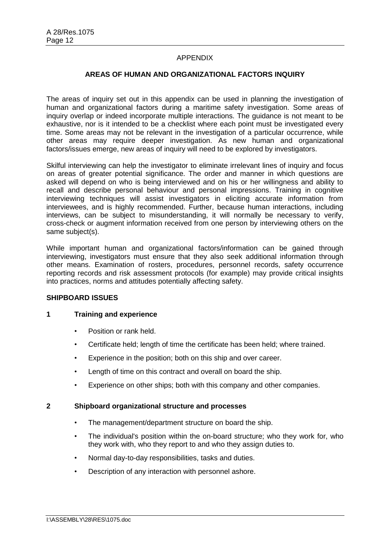## APPENDIX

### **AREAS OF HUMAN AND ORGANIZATIONAL FACTORS INQUIRY**

The areas of inquiry set out in this appendix can be used in planning the investigation of human and organizational factors during a maritime safety investigation. Some areas of inquiry overlap or indeed incorporate multiple interactions. The guidance is not meant to be exhaustive, nor is it intended to be a checklist where each point must be investigated every time. Some areas may not be relevant in the investigation of a particular occurrence, while other areas may require deeper investigation. As new human and organizational factors/issues emerge, new areas of inquiry will need to be explored by investigators.

Skilful interviewing can help the investigator to eliminate irrelevant lines of inquiry and focus on areas of greater potential significance. The order and manner in which questions are asked will depend on who is being interviewed and on his or her willingness and ability to recall and describe personal behaviour and personal impressions. Training in cognitive interviewing techniques will assist investigators in eliciting accurate information from interviewees, and is highly recommended. Further, because human interactions, including interviews, can be subject to misunderstanding, it will normally be necessary to verify, cross-check or augment information received from one person by interviewing others on the same subject(s).

While important human and organizational factors/information can be gained through interviewing, investigators must ensure that they also seek additional information through other means. Examination of rosters, procedures, personnel records, safety occurrence reporting records and risk assessment protocols (for example) may provide critical insights into practices, norms and attitudes potentially affecting safety.

## **SHIPBOARD ISSUES**

## **1 Training and experience**

- Position or rank held.
- Certificate held; length of time the certificate has been held; where trained.
- Experience in the position; both on this ship and over career.
- Length of time on this contract and overall on board the ship.
- Experience on other ships; both with this company and other companies.

#### **2 Shipboard organizational structure and processes**

- The management/department structure on board the ship.
- The individual's position within the on-board structure; who they work for, who they work with, who they report to and who they assign duties to.
- Normal day-to-day responsibilities, tasks and duties.
- Description of any interaction with personnel ashore.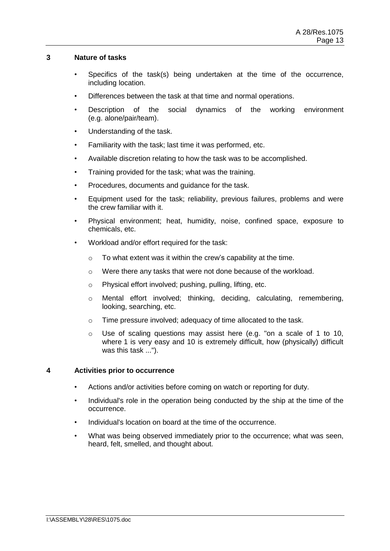### **3 Nature of tasks**

- Specifics of the task(s) being undertaken at the time of the occurrence, including location.
- Differences between the task at that time and normal operations.
- Description of the social dynamics of the working environment (e.g. alone/pair/team).
- Understanding of the task.
- Familiarity with the task; last time it was performed, etc.
- Available discretion relating to how the task was to be accomplished.
- Training provided for the task; what was the training.
- Procedures, documents and guidance for the task.
- Equipment used for the task; reliability, previous failures, problems and were the crew familiar with it.
- Physical environment; heat, humidity, noise, confined space, exposure to chemicals, etc.
- Workload and/or effort required for the task:
	- o To what extent was it within the crew's capability at the time.
	- o Were there any tasks that were not done because of the workload.
	- o Physical effort involved; pushing, pulling, lifting, etc.
	- o Mental effort involved; thinking, deciding, calculating, remembering, looking, searching, etc.
	- o Time pressure involved; adequacy of time allocated to the task.
	- $\circ$  Use of scaling questions may assist here (e.g. "on a scale of 1 to 10, where 1 is very easy and 10 is extremely difficult, how (physically) difficult was this task ...").

# **4 Activities prior to occurrence**

- Actions and/or activities before coming on watch or reporting for duty.
- Individual's role in the operation being conducted by the ship at the time of the occurrence.
- Individual's location on board at the time of the occurrence.
- What was being observed immediately prior to the occurrence; what was seen, heard, felt, smelled, and thought about.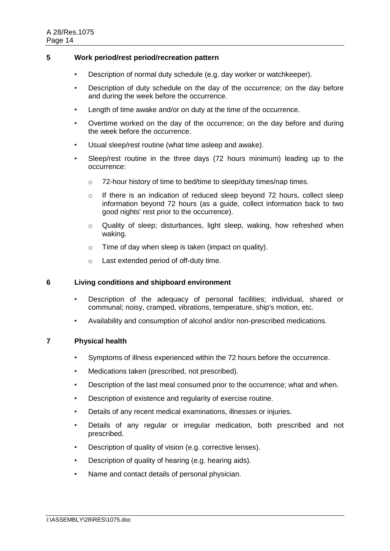### **5 Work period/rest period/recreation pattern**

- Description of normal duty schedule (e.g. day worker or watchkeeper).
- Description of duty schedule on the day of the occurrence; on the day before and during the week before the occurrence.
- Length of time awake and/or on duty at the time of the occurrence.
- Overtime worked on the day of the occurrence; on the day before and during the week before the occurrence.
- Usual sleep/rest routine (what time asleep and awake).
- Sleep/rest routine in the three days (72 hours minimum) leading up to the occurrence:
	- o 72-hour history of time to bed/time to sleep/duty times/nap times.
	- o If there is an indication of reduced sleep beyond 72 hours, collect sleep information beyond 72 hours (as a guide, collect information back to two good nights' rest prior to the occurrence).
	- $\circ$  Quality of sleep; disturbances, light sleep, waking, how refreshed when waking.
	- o Time of day when sleep is taken (impact on quality).
	- o Last extended period of off-duty time.

## **6 Living conditions and shipboard environment**

- Description of the adequacy of personal facilities; individual, shared or communal; noisy, cramped, vibrations, temperature, ship's motion, etc.
- Availability and consumption of alcohol and/or non-prescribed medications.

## **7 Physical health**

- Symptoms of illness experienced within the 72 hours before the occurrence.
- Medications taken (prescribed, not prescribed).
- Description of the last meal consumed prior to the occurrence; what and when.
- Description of existence and regularity of exercise routine.
- Details of any recent medical examinations, illnesses or injuries.
- Details of any regular or irregular medication, both prescribed and not prescribed.
- Description of quality of vision (e.g. corrective lenses).
- Description of quality of hearing (e.g. hearing aids).
- Name and contact details of personal physician.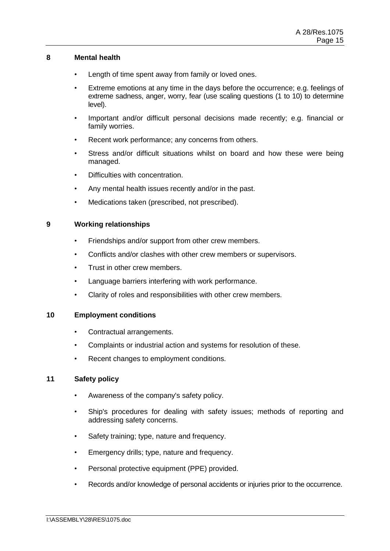## **8 Mental health**

- Length of time spent away from family or loved ones.
- Extreme emotions at any time in the days before the occurrence; e.g. feelings of extreme sadness, anger, worry, fear (use scaling questions (1 to 10) to determine level).
- Important and/or difficult personal decisions made recently; e.g. financial or family worries.
- Recent work performance; any concerns from others.
- Stress and/or difficult situations whilst on board and how these were being managed.
- Difficulties with concentration.
- Any mental health issues recently and/or in the past.
- Medications taken (prescribed, not prescribed).

### **9 Working relationships**

- Friendships and/or support from other crew members.
- Conflicts and/or clashes with other crew members or supervisors.
- Trust in other crew members.
- Language barriers interfering with work performance.
- Clarity of roles and responsibilities with other crew members.

## **10 Employment conditions**

- Contractual arrangements.
- Complaints or industrial action and systems for resolution of these.
- Recent changes to employment conditions.

### **11 Safety policy**

- Awareness of the company's safety policy.
- Ship's procedures for dealing with safety issues; methods of reporting and addressing safety concerns.
- Safety training; type, nature and frequency.
- Emergency drills; type, nature and frequency.
- Personal protective equipment (PPE) provided.
- Records and/or knowledge of personal accidents or injuries prior to the occurrence.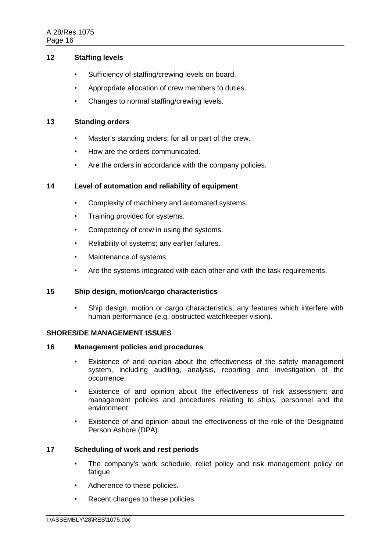# **12 Staffing levels**

- Sufficiency of staffing/crewing levels on board.
- Appropriate allocation of crew members to duties.
- Changes to normal staffing/crewing levels.

#### **13 Standing orders**

- Master's standing orders; for all or part of the crew.
- How are the orders communicated.
- Are the orders in accordance with the company policies.

### **14 Level of automation and reliability of equipment**

- Complexity of machinery and automated systems.
- Training provided for systems.
- Competency of crew in using the systems.
- Reliability of systems; any earlier failures.
- Maintenance of systems.
- Are the systems integrated with each other and with the task requirements.

## **15 Ship design, motion/cargo characteristics**

• Ship design, motion or cargo characteristics; any features which interfere with human performance (e.g. obstructed watchkeeper vision).

## **SHORESIDE MANAGEMENT ISSUES**

#### **16 Management policies and procedures**

- Existence of and opinion about the effectiveness of the safety management system, including auditing, analysis, reporting and investigation of the occurrence.
- Existence of and opinion about the effectiveness of risk assessment and management policies and procedures relating to ships, personnel and the environment.
- Existence of and opinion about the effectiveness of the role of the Designated Person Ashore (DPA).

### **17 Scheduling of work and rest periods**

- The company's work schedule, relief policy and risk management policy on fatigue.
- Adherence to these policies.
- Recent changes to these policies.